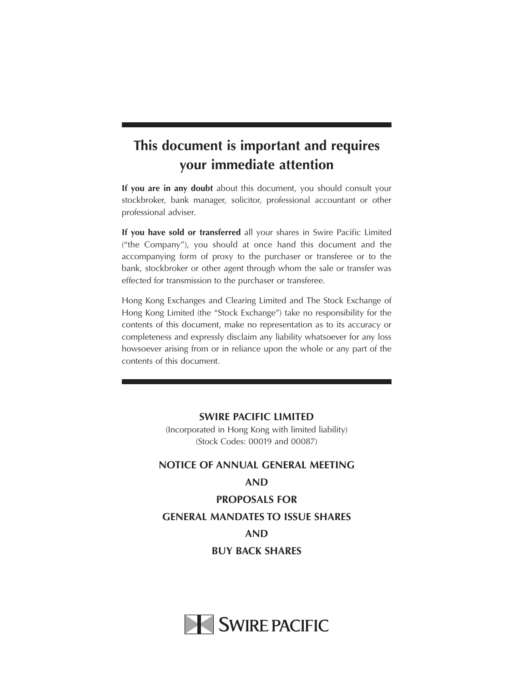# **This document is important and requires your immediate attention**

**If you are in any doubt** about this document, you should consult your stockbroker, bank manager, solicitor, professional accountant or other professional adviser.

**If you have sold or transferred** all your shares in Swire Pacific Limited ("the Company"), you should at once hand this document and the accompanying form of proxy to the purchaser or transferee or to the bank, stockbroker or other agent through whom the sale or transfer was effected for transmission to the purchaser or transferee.

Hong Kong Exchanges and Clearing Limited and The Stock Exchange of Hong Kong Limited (the "Stock Exchange") take no responsibility for the contents of this document, make no representation as to its accuracy or completeness and expressly disclaim any liability whatsoever for any loss howsoever arising from or in reliance upon the whole or any part of the contents of this document.

> **SWIRE PACIFIC LIMITED** (Incorporated in Hong Kong with limited liability) (Stock Codes: 00019 and 00087)

# **NOTICE OF ANNUAL GENERAL MEETING AND PROPOSALS FOR GENERAL MANDATES TO ISSUE SHARES AND BUY BACK SHARES**

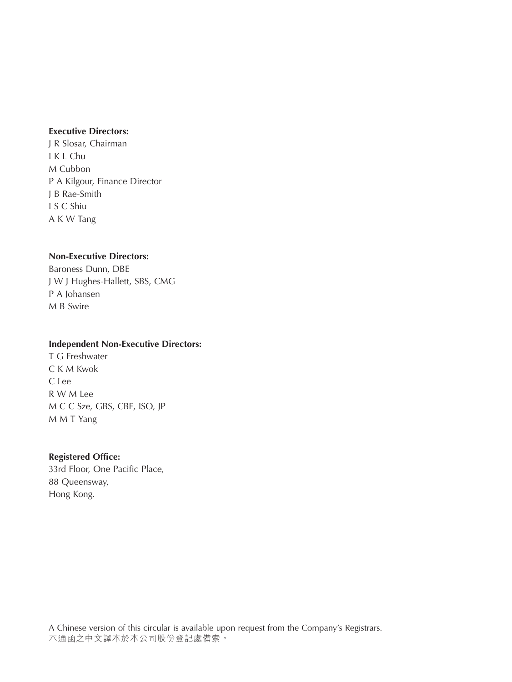### **Executive Directors:**

J R Slosar, Chairman I K L Chu M Cubbon P A Kilgour, Finance Director J B Rae-Smith I S C Shiu A K W Tang

### **Non-Executive Directors:**

Baroness Dunn, DBE J W J Hughes-Hallett, SBS, CMG P A Johansen M B Swire

#### **Independent Non-Executive Directors:**

T G Freshwater C K M Kwok C Lee R W M Lee M C C Sze, GBS, CBE, ISO, JP M M T Yang

#### **Registered Office:**

33rd Floor, One Pacific Place, 88 Queensway, Hong Kong.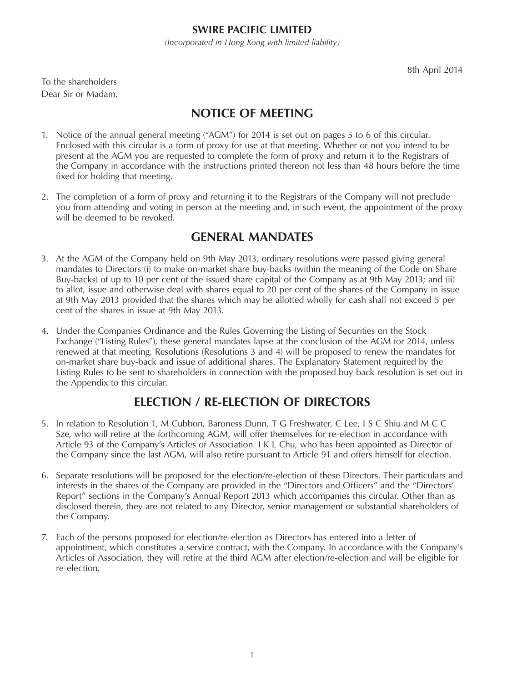### **SWIRE PACIFIC LIMITED**

*(Incorporated in Hong Kong with limited liability)*

To the shareholders Dear Sir or Madam,

# **NOTICE OF MEETING**

- 1. Notice of the annual general meeting ("AGM") for 2014 is set out on pages 5 to 6 of this circular. Enclosed with this circular is a form of proxy for use at that meeting. Whether or not you intend to be present at the AGM you are requested to complete the form of proxy and return it to the Registrars of the Company in accordance with the instructions printed thereon not less than 48 hours before the time fixed for holding that meeting.
- 2. The completion of a form of proxy and returning it to the Registrars of the Company will not preclude you from attending and voting in person at the meeting and, in such event, the appointment of the proxy will be deemed to be revoked.

## **GENERAL MANDATES**

- 3. At the AGM of the Company held on 9th May 2013, ordinary resolutions were passed giving general mandates to Directors (i) to make on-market share buy-backs (within the meaning of the Code on Share Buy-backs) of up to 10 per cent of the issued share capital of the Company as at 9th May 2013; and (ii) to allot, issue and otherwise deal with shares equal to 20 per cent of the shares of the Company in issue at 9th May 2013 provided that the shares which may be allotted wholly for cash shall not exceed 5 per cent of the shares in issue at 9th May 2013.
- 4. Under the Companies Ordinance and the Rules Governing the Listing of Securities on the Stock Exchange ("Listing Rules"), these general mandates lapse at the conclusion of the AGM for 2014, unless renewed at that meeting. Resolutions (Resolutions 3 and 4) will be proposed to renew the mandates for on-market share buy-back and issue of additional shares. The Explanatory Statement required by the Listing Rules to be sent to shareholders in connection with the proposed buy-back resolution is set out in the Appendix to this circular.

# **ELECTION / RE-ELECTION OF DIRECTORS**

- 5. In relation to Resolution 1, M Cubbon, Baroness Dunn, T G Freshwater, C Lee, I S C Shiu and M C C Sze, who will retire at the forthcoming AGM, will offer themselves for re-election in accordance with Article 93 of the Company's Articles of Association. I K L Chu, who has been appointed as Director of the Company since the last AGM, will also retire pursuant to Article 91 and offers himself for election.
- 6. Separate resolutions will be proposed for the election/re-election of these Directors. Their particulars and interests in the shares of the Company are provided in the "Directors and Officers" and the "Directors' Report" sections in the Company's Annual Report 2013 which accompanies this circular. Other than as disclosed therein, they are not related to any Director, senior management or substantial shareholders of the Company.
- 7. Each of the persons proposed for election/re-election as Directors has entered into a letter of appointment, which constitutes a service contract, with the Company. In accordance with the Company's Articles of Association, they will retire at the third AGM after election/re-election and will be eligible for re-election.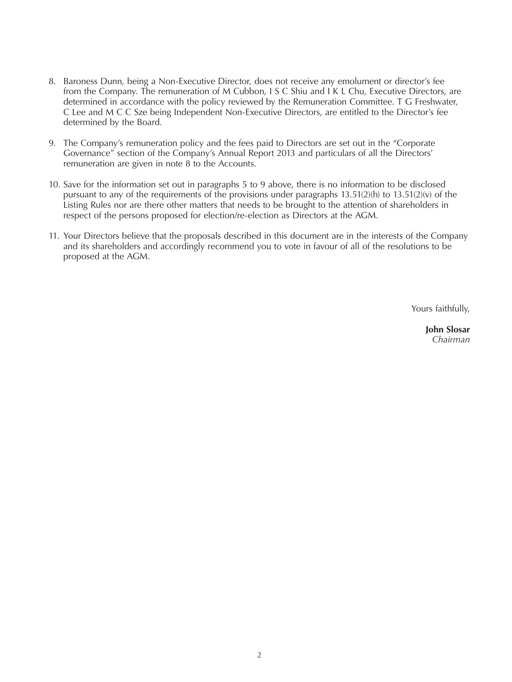- 8. Baroness Dunn, being a Non-Executive Director, does not receive any emolument or director's fee from the Company. The remuneration of M Cubbon, I S C Shiu and I K L Chu, Executive Directors, are determined in accordance with the policy reviewed by the Remuneration Committee. T G Freshwater, C Lee and M C C Sze being Independent Non-Executive Directors, are entitled to the Director's fee determined by the Board.
- 9. The Company's remuneration policy and the fees paid to Directors are set out in the "Corporate Governance" section of the Company's Annual Report 2013 and particulars of all the Directors' remuneration are given in note 8 to the Accounts.
- 10. Save for the information set out in paragraphs 5 to 9 above, there is no information to be disclosed pursuant to any of the requirements of the provisions under paragraphs 13.51(2)(h) to 13.51(2)(v) of the Listing Rules nor are there other matters that needs to be brought to the attention of shareholders in respect of the persons proposed for election/re-election as Directors at the AGM.
- 11. Your Directors believe that the proposals described in this document are in the interests of the Company and its shareholders and accordingly recommend you to vote in favour of all of the resolutions to be proposed at the AGM.

Yours faithfully,

**John Slosar** *Chairman*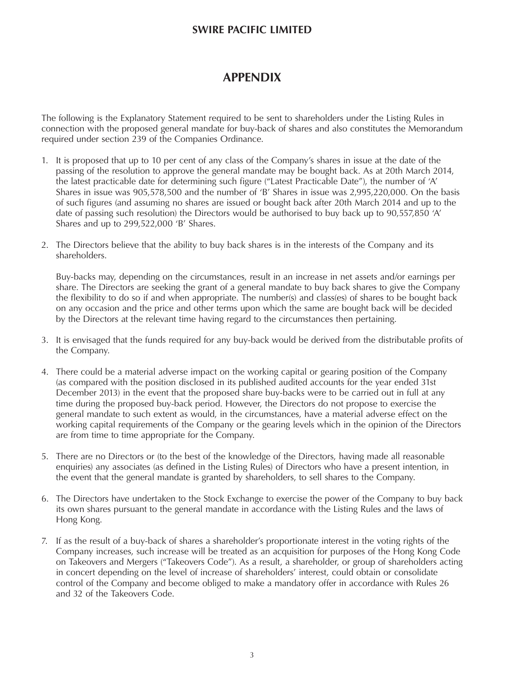### **SWIRE PACIFIC LIMITED**

### **APPENDIX**

The following is the Explanatory Statement required to be sent to shareholders under the Listing Rules in connection with the proposed general mandate for buy-back of shares and also constitutes the Memorandum required under section 239 of the Companies Ordinance.

- 1. It is proposed that up to 10 per cent of any class of the Company's shares in issue at the date of the passing of the resolution to approve the general mandate may be bought back. As at 20th March 2014, the latest practicable date for determining such figure ("Latest Practicable Date"), the number of 'A' Shares in issue was 905,578,500 and the number of 'B' Shares in issue was 2,995,220,000. On the basis of such figures (and assuming no shares are issued or bought back after 20th March 2014 and up to the date of passing such resolution) the Directors would be authorised to buy back up to 90,557,850 'A' Shares and up to 299,522,000 'B' Shares.
- 2. The Directors believe that the ability to buy back shares is in the interests of the Company and its shareholders.

Buy-backs may, depending on the circumstances, result in an increase in net assets and/or earnings per share. The Directors are seeking the grant of a general mandate to buy back shares to give the Company the flexibility to do so if and when appropriate. The number(s) and class(es) of shares to be bought back on any occasion and the price and other terms upon which the same are bought back will be decided by the Directors at the relevant time having regard to the circumstances then pertaining.

- 3. It is envisaged that the funds required for any buy-back would be derived from the distributable profits of the Company.
- 4. There could be a material adverse impact on the working capital or gearing position of the Company (as compared with the position disclosed in its published audited accounts for the year ended 31st December 2013) in the event that the proposed share buy-backs were to be carried out in full at any time during the proposed buy-back period. However, the Directors do not propose to exercise the general mandate to such extent as would, in the circumstances, have a material adverse effect on the working capital requirements of the Company or the gearing levels which in the opinion of the Directors are from time to time appropriate for the Company.
- 5. There are no Directors or (to the best of the knowledge of the Directors, having made all reasonable enquiries) any associates (as defined in the Listing Rules) of Directors who have a present intention, in the event that the general mandate is granted by shareholders, to sell shares to the Company.
- 6. The Directors have undertaken to the Stock Exchange to exercise the power of the Company to buy back its own shares pursuant to the general mandate in accordance with the Listing Rules and the laws of Hong Kong.
- 7. If as the result of a buy-back of shares a shareholder's proportionate interest in the voting rights of the Company increases, such increase will be treated as an acquisition for purposes of the Hong Kong Code on Takeovers and Mergers ("Takeovers Code"). As a result, a shareholder, or group of shareholders acting in concert depending on the level of increase of shareholders' interest, could obtain or consolidate control of the Company and become obliged to make a mandatory offer in accordance with Rules 26 and 32 of the Takeovers Code.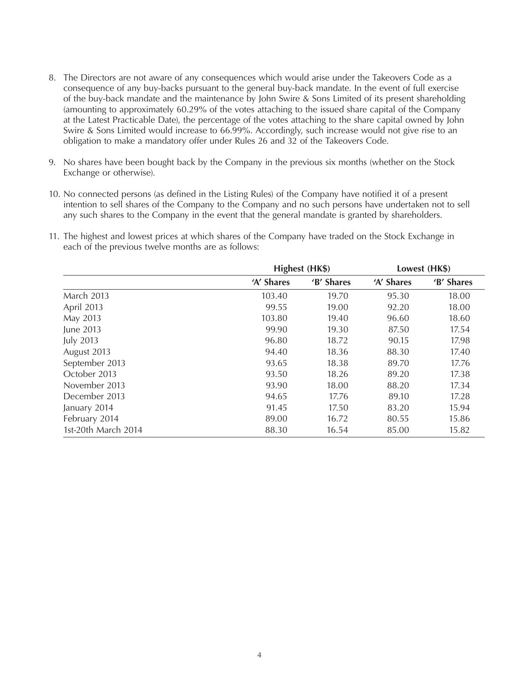- 8. The Directors are not aware of any consequences which would arise under the Takeovers Code as a consequence of any buy-backs pursuant to the general buy-back mandate. In the event of full exercise of the buy-back mandate and the maintenance by John Swire & Sons Limited of its present shareholding (amounting to approximately 60.29% of the votes attaching to the issued share capital of the Company at the Latest Practicable Date), the percentage of the votes attaching to the share capital owned by John Swire & Sons Limited would increase to 66.99%. Accordingly, such increase would not give rise to an obligation to make a mandatory offer under Rules 26 and 32 of the Takeovers Code.
- 9. No shares have been bought back by the Company in the previous six months (whether on the Stock Exchange or otherwise).
- 10. No connected persons (as defined in the Listing Rules) of the Company have notified it of a present intention to sell shares of the Company to the Company and no such persons have undertaken not to sell any such shares to the Company in the event that the general mandate is granted by shareholders.
- 11. The highest and lowest prices at which shares of the Company have traded on the Stock Exchange in each of the previous twelve months are as follows:

|                     | Highest (HK\$) |            | Lowest (HK\$) |            |
|---------------------|----------------|------------|---------------|------------|
|                     | 'A' Shares     | 'B' Shares | 'A' Shares    | 'B' Shares |
| March 2013          | 103.40         | 19.70      | 95.30         | 18.00      |
| April 2013          | 99.55          | 19.00      | 92.20         | 18.00      |
| May 2013            | 103.80         | 19.40      | 96.60         | 18.60      |
| June 2013           | 99.90          | 19.30      | 87.50         | 17.54      |
| <b>July 2013</b>    | 96.80          | 18.72      | 90.15         | 17.98      |
| August 2013         | 94.40          | 18.36      | 88.30         | 17.40      |
| September 2013      | 93.65          | 18.38      | 89.70         | 17.76      |
| October 2013        | 93.50          | 18.26      | 89.20         | 17.38      |
| November 2013       | 93.90          | 18.00      | 88.20         | 17.34      |
| December 2013       | 94.65          | 17.76      | 89.10         | 17.28      |
| January 2014        | 91.45          | 17.50      | 83.20         | 15.94      |
| February 2014       | 89.00          | 16.72      | 80.55         | 15.86      |
| 1st-20th March 2014 | 88.30          | 16.54      | 85.00         | 15.82      |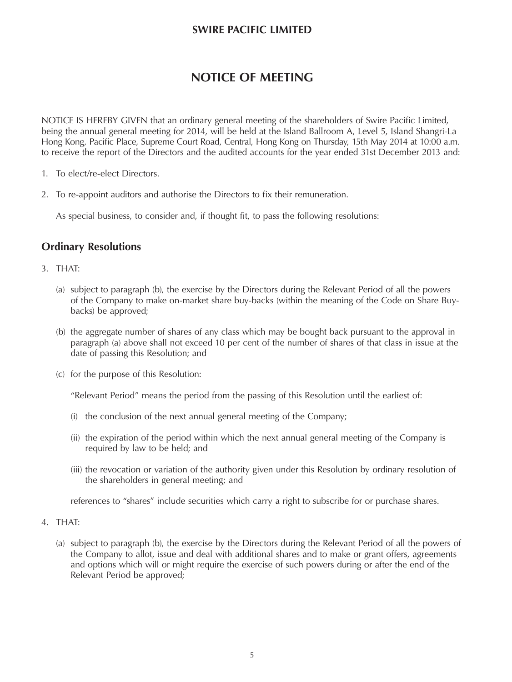### **SWIRE PACIFIC LIMITED**

## **NOTICE OF MEETING**

NOTICE IS HEREBY GIVEN that an ordinary general meeting of the shareholders of Swire Pacific Limited, being the annual general meeting for 2014, will be held at the Island Ballroom A, Level 5, Island Shangri-La Hong Kong, Pacific Place, Supreme Court Road, Central, Hong Kong on Thursday, 15th May 2014 at 10:00 a.m. to receive the report of the Directors and the audited accounts for the year ended 31st December 2013 and:

- 1. To elect/re-elect Directors.
- 2. To re-appoint auditors and authorise the Directors to fix their remuneration.

As special business, to consider and, if thought fit, to pass the following resolutions:

#### **Ordinary Resolutions**

#### 3. THAT:

- (a) subject to paragraph (b), the exercise by the Directors during the Relevant Period of all the powers of the Company to make on-market share buy-backs (within the meaning of the Code on Share Buybacks) be approved;
- (b) the aggregate number of shares of any class which may be bought back pursuant to the approval in paragraph (a) above shall not exceed 10 per cent of the number of shares of that class in issue at the date of passing this Resolution; and
- (c) for the purpose of this Resolution:

"Relevant Period" means the period from the passing of this Resolution until the earliest of:

- (i) the conclusion of the next annual general meeting of the Company;
- (ii) the expiration of the period within which the next annual general meeting of the Company is required by law to be held; and
- (iii) the revocation or variation of the authority given under this Resolution by ordinary resolution of the shareholders in general meeting; and

references to "shares" include securities which carry a right to subscribe for or purchase shares.

- 4. THAT:
	- (a) subject to paragraph (b), the exercise by the Directors during the Relevant Period of all the powers of the Company to allot, issue and deal with additional shares and to make or grant offers, agreements and options which will or might require the exercise of such powers during or after the end of the Relevant Period be approved;